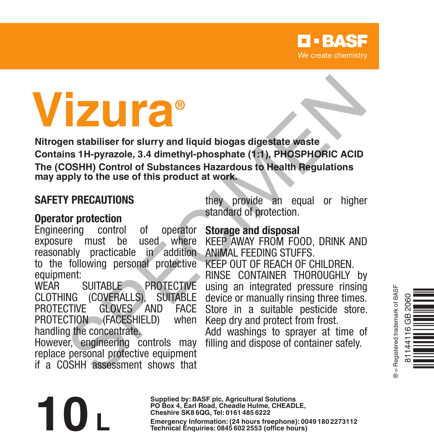# **Vizura®**

**Nitrogen stabiliser for slurry and liquid biogas digestate waste Contains 1H-pyrazole, 3.4 dimethyl-phosphate (1:1), PHOSPHORIC ACID The (COSHH) Control of Substances Hazardous to Health Regulations may apply to the use of this product at work. Example 18 and 18 and 18 and 18 and 18 and 18 and 18 and 18 and 18 and 18 and 18 and 18 and 18 and 18 and 18 and 18 and 18 and 18 and 18 and 18 and 18 and 18 and 18 and 18 and 18 and 18 and 18 and 18 and 18 and 18 and 18** 

# **SAFETY PRECAUTIONS**

reasonably practicable in addition ANIMAL FEEDING STUFFS. **Operator protection**<br>**Engineering** control Engineering control of operator<br>exposure must be used where exposure must be to the following personal protective equipment:<br>WFAR SUITABLE PROTECTIVE

CLOTHING (COVERALLS), SUITABLE GLOVES AND FACE<br>FACESHIFLD) when PROTECTION (FACESHIELD) handling the concentrate.

However, engineering controls may replace personal protective equipment if a COSHH assessment shows that

they provide an equal or higher standard of protection.

# **Storage and disposal**

KEEP AWAY FROM FOOD, DRINK AND

KEEP OUT OF REACH OF CHILDREN. RINSE CONTAINER THOROUGHLY by using an integrated pressure rinsing device or manually rinsing three times. Store in a suitable pesticide store. Keep dry and protect from frost.

Add washings to sprayer at time of filling and dispose of container safely.



**Supplied by: BASF plc, Agricultural Solutions PO Box 4, Earl Road, Cheadle Hulme, CHEADLE, Cheshire SK8 6QG, Tel: 0161 485 6222 Emergency Information: (24 hours freephone): 0049 <sup>180</sup> <sup>2273112</sup> 10 L Technical Enquiries: 0845 <sup>602</sup> <sup>2553</sup> (office hours)**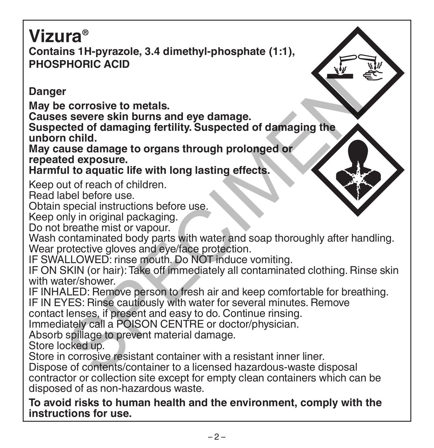# **Vizura® Contains 1H-pyrazole, 3.4 dimethyl-phosphate (1:1), PHOSPHORIC ACID**

# **Danger**

**May be corrosive to metals.**

**Causes severe skin burns and eye damage.**

**Suspected of damaging fertility. Suspected of damaging the unborn child.**

**May cause damage to organs through prolonged or repeated exposure.**

# **Harmful to aquatic life with long lasting effects.**

Keep out of reach of children.

Read label before use.

Obtain special instructions before use.

Keep only in original packaging.

Do not breathe mist or vapour.

Wash contaminated body parts with water and soap thoroughly after handling. Wear protective gloves and eye/face protection. r<br>
corrosive to metals.<br>
s severe skin burns and eye damage.<br>
ted of damaging fertility. Suspected of damaging the<br>
child.<br>
use damage to organs through prolonged or<br>
and exposure.<br>
ul to aquatic life with long lasting eff

IF SWALLOWED: rinse mouth. Do NOT induce vomiting.

IF ON SKIN (or hair): Take off immediately all contaminated clothing. Rinse skin with water/shower.

IF INHALED: Remove person to fresh air and keep comfortable for breathing.

IF IN EYES: Rinse cautiously with water for several minutes. Remove

contact lenses, if present and easy to do. Continue rinsing.

Immediately call a POISON CENTRE or doctor/physician.

Absorb spillage to prevent material damage.

Store locked up.

Store in corrosive resistant container with a resistant inner liner.

Dispose of contents/container to a licensed hazardous-waste disposal contractor or collection site except for empty clean containers which can be disposed of as non-hazardous waste.

**To avoid risks to human health and the environment, comply with the instructions for use.**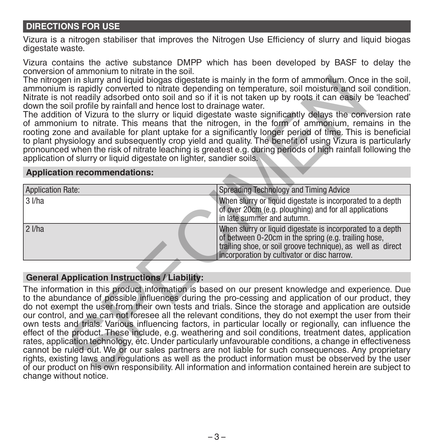### **DIRECTIONS FOR USE**

Vizura is a nitrogen stabiliser that improves the Nitrogen Use Efficiency of slurry and liquid biogas digestate waste.

Vizura contains the active substance DMPP which has been developed by BASF to delay the conversion of ammonium to nitrate in the soil.

The nitrogen in slurry and liquid biogas digestate is mainly in the form of ammonium. Once in the soil, ammonium is rapidly converted to nitrate depending on temperature, soil moisture and soil condition. Nitrate is not readily adsorbed onto soil and so if it is not taken up by roots it can easily be 'leached' down the soil profile by rainfall and hence lost to drainage water.

The addition of Vizura to the slurry or liquid digestate waste significantly delays the conversion rate of ammonium to nitrate. This means that the nitrogen, in the form of ammonium, remains in the rooting zone and available for plant uptake for a significantly longer period of time. This is beneficial to plant physiology and subsequently crop yield and quality. The benefit of using Vizura is particularly pronounced when the risk of nitrate leaching is greatest e.g. during periods of high rainfall following the application of slurry or liquid digestate on lighter, sandier soils.

#### **Application recommendations:**

| Application Rate: | Spreading Technology and Timing Advice                                                                                                                                                                                           |
|-------------------|----------------------------------------------------------------------------------------------------------------------------------------------------------------------------------------------------------------------------------|
| 3 I/ha            | When slurry or liquid digestate is incorporated to a depth                                                                                                                                                                       |
|                   | of over 20cm (e.g. ploughing) and for all applications<br>in late summer and autumn.                                                                                                                                             |
| $ 2 $ /ha         | When slurry or liquid digestate is incorporated to a depth<br>of between 0-20cm in the spring (e.g. trailing hose,<br>trailing shoe, or soil groove technique), as well as direct<br>incorporation by cultivator or disc harrow. |

### **General Application Instructions / Liability:**

The information in this product information is based on our present knowledge and experience. Due to the abundance of possible influences during the pro-cessing and application of our product, they do not exempt the user from their own tests and trials. Since the storage and application are outside our control, and we can not foresee all the relevant conditions, they do not exempt the user from their own tests and trials. Various influencing factors, in particular locally or regionally, can influence the effect of the product. These include, e.g. weathering and soil conditions, treatment dates, application rates, application technology, etc. Under particularly unfavourable conditions, a change in effectiveness cannot be ruled out. We or our sales partners are not liable for such consequences. Any proprietary rights, existing laws and regulations as well as the product information must be observed by the user of our product on his own responsibility. All information and information contained herein are subject to change without notice. in in sturry and liquid biogas digetate is mainly in the form of ammonium. Once it is not in simple by roots it can easily only only adsorbed onto soil and so if it is not taken up by roots it can easily of the by roots in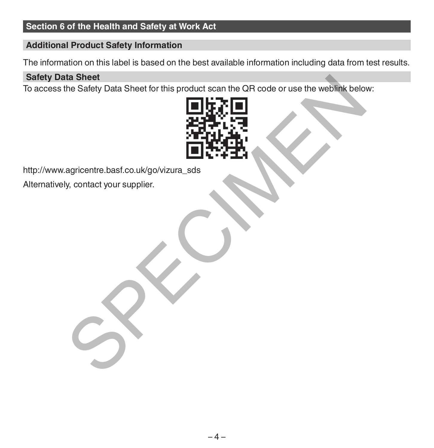## **Section 6 of the Health and Safety at Work Act**

### **Additional Product Safety Information**

The information on this label is based on the best available information including data from test results.

### **Safety Data Sheet**

To access the Safety Data Sheet for this product scan the QR code or use the weblink below:



http://www.agricentre.basf.co.uk/go/vizura\_sds Alternatively, contact your supplier.